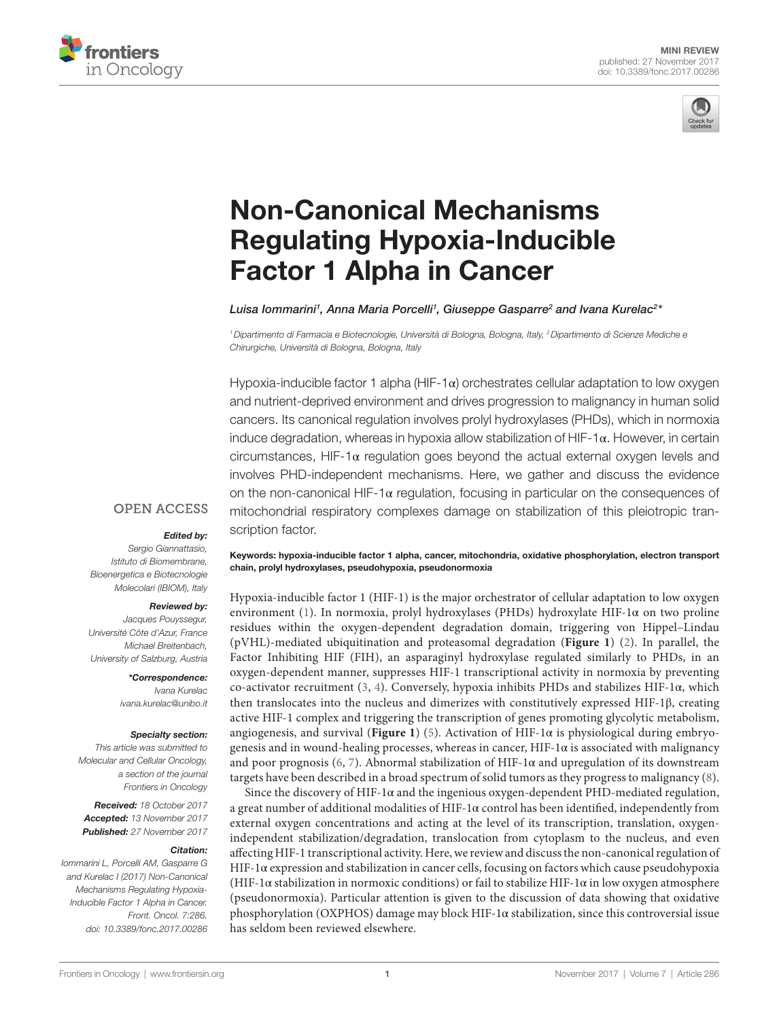



# [Non-Canonical Mechanisms](https://www.frontiersin.org/Journal/10.3389/fonc.2017.00286/full)  [Regulating Hypoxia-Inducible](https://www.frontiersin.org/Journal/10.3389/fonc.2017.00286/full)  [Factor 1 Alpha in Cancer](https://www.frontiersin.org/Journal/10.3389/fonc.2017.00286/full)

*[Luisa Iommarini1](http://loop.frontiersin.org/people/487362) , [Anna Maria Porcelli](http://loop.frontiersin.org/people/35760)1 , [Giuseppe Gasparre2](http://loop.frontiersin.org/people/54280) and [Ivana Kurelac2](http://loop.frontiersin.org/people/427943) \**

*1Dipartimento di Farmacia e Biotecnologie, Università di Bologna, Bologna, Italy, 2Dipartimento di Scienze Mediche e Chirurgiche, Università di Bologna, Bologna, Italy*

Hypoxia-inducible factor 1 alpha (HIF-1 $\alpha$ ) orchestrates cellular adaptation to low oxygen and nutrient-deprived environment and drives progression to malignancy in human solid cancers. Its canonical regulation involves prolyl hydroxylases (PHDs), which in normoxia induce degradation, whereas in hypoxia allow stabilization of  $HIF-1\alpha$ . However, in certain circumstances, HIF-1α regulation goes beyond the actual external oxygen levels and involves PHD-independent mechanisms. Here, we gather and discuss the evidence on the non-canonical HIF-1 $\alpha$  regulation, focusing in particular on the consequences of mitochondrial respiratory complexes damage on stabilization of this pleiotropic transcription factor.

#### **OPEN ACCESS**

#### *Edited by:*

*Sergio Giannattasio, Istituto di Biomembrane, Bioenergetica e Biotecnologie Molecolari (IBIOM), Italy*

#### *Reviewed by:*

*Jacques Pouyssegur, Université Côte d'Azur, France Michael Breitenbach, University of Salzburg, Austria*

> *\*Correspondence: Ivana Kurelac [ivana.kurelac@unibo.it](mailto:ivana.kurelac@unibo.it)*

#### *Specialty section:*

*This article was submitted to Molecular and Cellular Oncology, a section of the journal Frontiers in Oncology*

*Received: 18 October 2017 Accepted: 13 November 2017 Published: 27 November 2017*

#### *Citation:*

*Iommarini L, Porcelli AM, Gasparre G and Kurelac I (2017) Non-Canonical Mechanisms Regulating Hypoxia-Inducible Factor 1 Alpha in Cancer. Front. Oncol. 7:286. doi: [10.3389/fonc.2017.00286](https://doi.org/10.3389/fonc.2017.00286)* Keywords: hypoxia-inducible factor 1 alpha, cancer, mitochondria, oxidative phosphorylation, electron transport chain, prolyl hydroxylases, pseudohypoxia, pseudonormoxia

Hypoxia-inducible factor 1 (HIF-1) is the major orchestrator of cellular adaptation to low oxygen environment ([1\)](#page-5-0). In normoxia, prolyl hydroxylases (PHDs) hydroxylate HIF-1α on two proline residues within the oxygen-dependent degradation domain, triggering von Hippel–Lindau (pVHL)-mediated ubiquitination and proteasomal degradation (**[Figure 1](#page-1-0)**) [\(2\)](#page-5-1). In parallel, the Factor Inhibiting HIF (FIH), an asparaginyl hydroxylase regulated similarly to PHDs, in an oxygen-dependent manner, suppresses HIF-1 transcriptional activity in normoxia by preventing co-activator recruitment ([3](#page-5-2), [4\)](#page-5-3). Conversely, hypoxia inhibits PHDs and stabilizes HIF-1α, which then translocates into the nucleus and dimerizes with constitutively expressed HIF-1β, creating active HIF-1 complex and triggering the transcription of genes promoting glycolytic metabolism, angiogenesis, and survival (**[Figure 1](#page-1-0)**) [\(5\)](#page-5-4). Activation of HIF-1α is physiological during embryogenesis and in wound-healing processes, whereas in cancer,  $HIF-I\alpha$  is associated with malignancy and poor prognosis [\(6,](#page-5-5) [7](#page-5-6)). Abnormal stabilization of HIF-1 $\alpha$  and upregulation of its downstream targets have been described in a broad spectrum of solid tumors as they progress to malignancy ([8](#page-5-7)).

Since the discovery of HIF-1 $\alpha$  and the ingenious oxygen-dependent PHD-mediated regulation, a great number of additional modalities of HIF-1α control has been identified, independently from external oxygen concentrations and acting at the level of its transcription, translation, oxygenindependent stabilization/degradation, translocation from cytoplasm to the nucleus, and even affecting HIF-1 transcriptional activity. Here, we review and discuss the non-canonical regulation of HIF-1α expression and stabilization in cancer cells, focusing on factors which cause pseudohypoxia (HIF-1 $\alpha$  stabilization in normoxic conditions) or fail to stabilize HIF-1 $\alpha$  in low oxygen atmosphere (pseudonormoxia). Particular attention is given to the discussion of data showing that oxidative phosphorylation (OXPHOS) damage may block HIF-1α stabilization, since this controversial issue has seldom been reviewed elsewhere.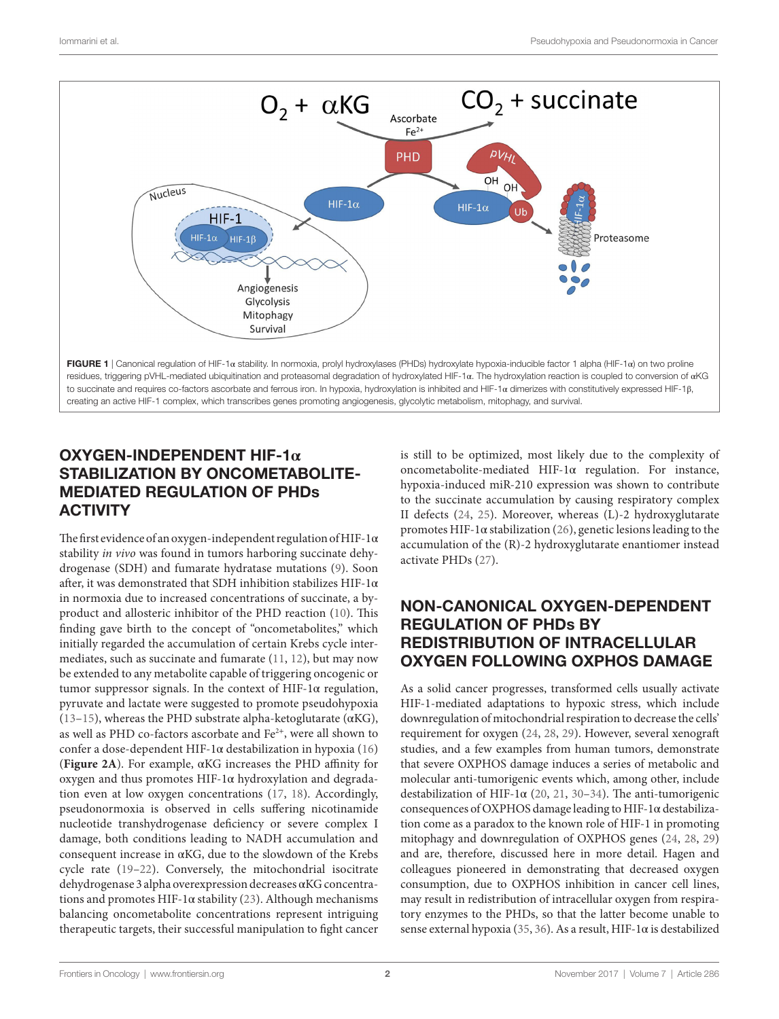

## <span id="page-1-0"></span>OXYGEN-INDEPENDENT HIF-1**α** STABILIZATION BY ONCOMETABOLITE-MEDIATED REGULATION OF PHDs **ACTIVITY**

The first evidence of an oxygen-independent regulation of HIF-1α stability *in vivo* was found in tumors harboring succinate dehydrogenase (SDH) and fumarate hydratase mutations [\(9\)](#page-5-8). Soon after, it was demonstrated that SDH inhibition stabilizes HIF-1α in normoxia due to increased concentrations of succinate, a byproduct and allosteric inhibitor of the PHD reaction [\(10\)](#page-5-9). This finding gave birth to the concept of "oncometabolites," which initially regarded the accumulation of certain Krebs cycle intermediates, such as succinate and fumarate ([11,](#page-5-10) [12](#page-5-11)), but may now be extended to any metabolite capable of triggering oncogenic or tumor suppressor signals. In the context of HIF-1 $\alpha$  regulation, pyruvate and lactate were suggested to promote pseudohypoxia ([13–](#page-5-12)[15](#page-5-13)), whereas the PHD substrate alpha-ketoglutarate ( $\alpha$ KG), as well as PHD co-factors ascorbate and Fe<sup>2+</sup>, were all shown to confer a dose-dependent HIF-1α destabilization in hypoxia ([16\)](#page-5-14) (**[Figure 2A](#page-2-0)**). For example, αKG increases the PHD affinity for oxygen and thus promotes HIF-1α hydroxylation and degradation even at low oxygen concentrations ([17,](#page-5-15) [18\)](#page-5-16). Accordingly, pseudonormoxia is observed in cells suffering nicotinamide nucleotide transhydrogenase deficiency or severe complex I damage, both conditions leading to NADH accumulation and consequent increase in αKG, due to the slowdown of the Krebs cycle rate ([19–](#page-5-17)[22](#page-5-18)). Conversely, the mitochondrial isocitrate dehydrogenase 3 alpha overexpression decreases αKG concentrations and promotes HIF-1 $\alpha$  stability [\(23\)](#page-5-19). Although mechanisms balancing oncometabolite concentrations represent intriguing therapeutic targets, their successful manipulation to fight cancer

is still to be optimized, most likely due to the complexity of oncometabolite-mediated HIF-1α regulation. For instance, hypoxia-induced miR-210 expression was shown to contribute to the succinate accumulation by causing respiratory complex II defects [\(24](#page-5-20), [25\)](#page-5-21). Moreover, whereas (L)-2 hydroxyglutarate promotes HIF-1α stabilization ([26](#page-5-22)), genetic lesions leading to the accumulation of the (R)-2 hydroxyglutarate enantiomer instead activate PHDs [\(27\)](#page-6-0).

## NON-CANONICAL OXYGEN-DEPENDENT REGULATION OF PHDs BY REDISTRIBUTION OF INTRACELLULAR OXYGEN FOLLOWING OXPHOS DAMAGE

As a solid cancer progresses, transformed cells usually activate HIF-1-mediated adaptations to hypoxic stress, which include downregulation of mitochondrial respiration to decrease the cells' requirement for oxygen [\(24](#page-5-20), [28](#page-6-1), [29\)](#page-6-2). However, several xenograft studies, and a few examples from human tumors, demonstrate that severe OXPHOS damage induces a series of metabolic and molecular anti-tumorigenic events which, among other, include destabilization of HIF-1 $\alpha$  ([20](#page-5-23), [21](#page-5-24), [30](#page-6-3)[–34](#page-6-4)). The anti-tumorigenic consequences of OXPHOS damage leading to HIF-1α destabilization come as a paradox to the known role of HIF-1 in promoting mitophagy and downregulation of OXPHOS genes ([24](#page-5-20), [28](#page-6-1), [29\)](#page-6-2) and are, therefore, discussed here in more detail. Hagen and colleagues pioneered in demonstrating that decreased oxygen consumption, due to OXPHOS inhibition in cancer cell lines, may result in redistribution of intracellular oxygen from respiratory enzymes to the PHDs, so that the latter become unable to sense external hypoxia ([35,](#page-6-5) [36\)](#page-6-6). As a result, HIF-1α is destabilized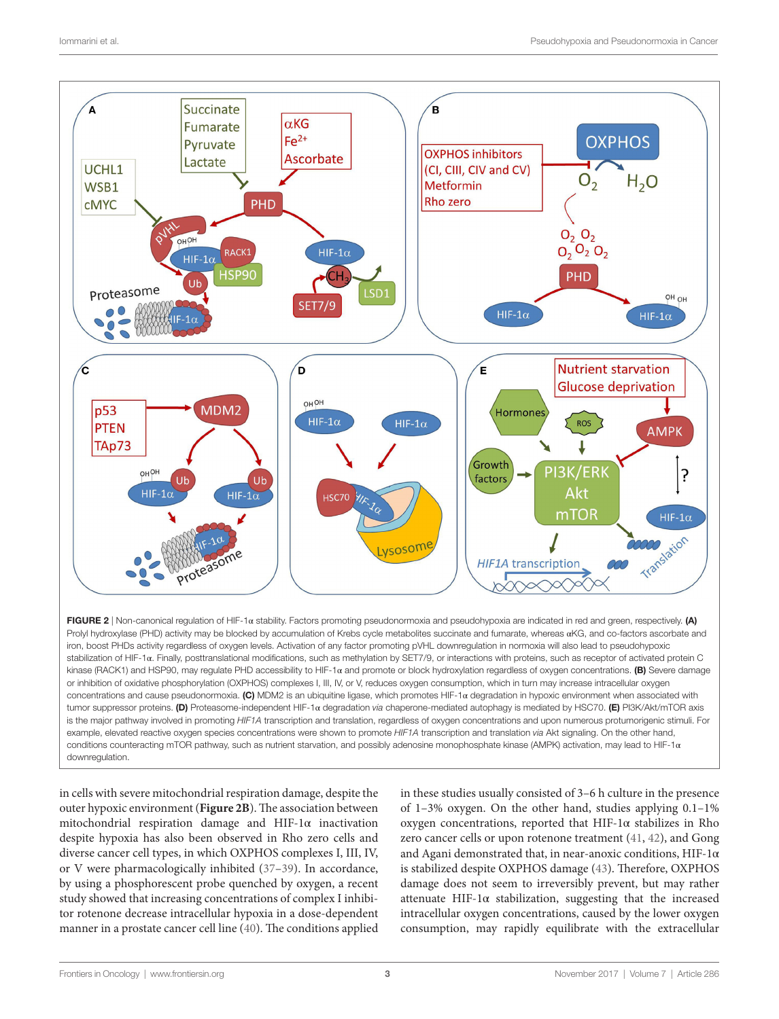

<span id="page-2-0"></span>Prolyl hydroxylase (PHD) activity may be blocked by accumulation of Krebs cycle metabolites succinate and fumarate, whereas αKG, and co-factors ascorbate and iron, boost PHDs activity regardless of oxygen levels. Activation of any factor promoting pVHL downregulation in normoxia will also lead to pseudohypoxic stabilization of HIF-1α. Finally, posttranslational modifications, such as methylation by SET7/9, or interactions with proteins, such as receptor of activated protein C kinase (RACK1) and HSP90, may regulate PHD accessibility to HIF-1 $\alpha$  and promote or block hydroxylation regardless of oxygen concentrations. (B) Severe damage or inhibition of oxidative phosphorylation (OXPHOS) complexes I, III, IV, or V, reduces oxygen consumption, which in turn may increase intracellular oxygen concentrations and cause pseudonormoxia. (C) MDM2 is an ubiquitine ligase, which promotes HIF-1α degradation in hypoxic environment when associated with tumor suppressor proteins. (D) Proteasome-independent HIF-1α degradation *via* chaperone-mediated autophagy is mediated by HSC70. (E) PI3K/Akt/mTOR axis is the major pathway involved in promoting *HIF1A* transcription and translation, regardless of oxygen concentrations and upon numerous protumorigenic stimuli. For example, elevated reactive oxygen species concentrations were shown to promote *HIF1A* transcription and translation *via* Akt signaling. On the other hand, conditions counteracting mTOR pathway, such as nutrient starvation, and possibly adenosine monophosphate kinase (AMPK) activation, may lead to HIF-1α downregulation.

in cells with severe mitochondrial respiration damage, despite the outer hypoxic environment (**[Figure 2B](#page-2-0)**). The association between mitochondrial respiration damage and HIF-1α inactivation despite hypoxia has also been observed in Rho zero cells and diverse cancer cell types, in which OXPHOS complexes I, III, IV, or V were pharmacologically inhibited [\(37](#page-6-7)[–39](#page-6-8)). In accordance, by using a phosphorescent probe quenched by oxygen, a recent study showed that increasing concentrations of complex I inhibitor rotenone decrease intracellular hypoxia in a dose-dependent manner in a prostate cancer cell line [\(40\)](#page-6-9). The conditions applied

in these studies usually consisted of 3–6 h culture in the presence of 1–3% oxygen. On the other hand, studies applying 0.1–1% oxygen concentrations, reported that HIF-1α stabilizes in Rho zero cancer cells or upon rotenone treatment ([41](#page-6-10), [42\)](#page-6-11), and Gong and Agani demonstrated that, in near-anoxic conditions, HIF-1α is stabilized despite OXPHOS damage [\(43](#page-6-12)). Therefore, OXPHOS damage does not seem to irreversibly prevent, but may rather attenuate HIF-1 $\alpha$  stabilization, suggesting that the increased intracellular oxygen concentrations, caused by the lower oxygen consumption, may rapidly equilibrate with the extracellular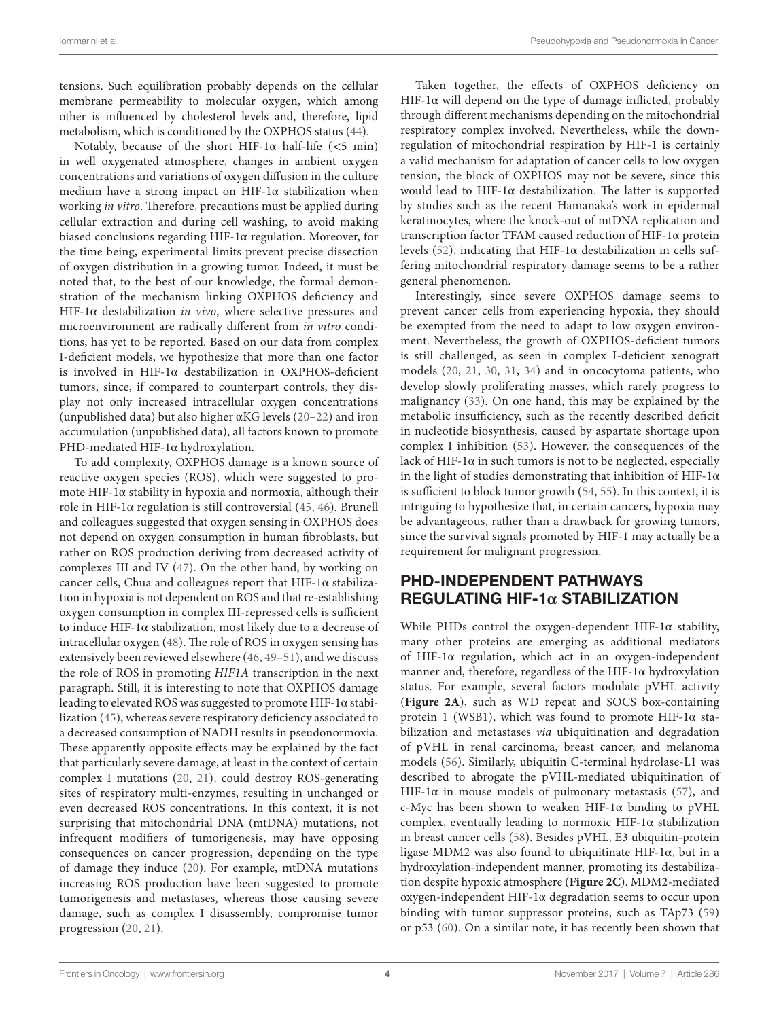tensions. Such equilibration probably depends on the cellular membrane permeability to molecular oxygen, which among other is influenced by cholesterol levels and, therefore, lipid metabolism, which is conditioned by the OXPHOS status ([44\)](#page-6-13).

Notably, because of the short HIF-1 $\alpha$  half-life (<5 min) in well oxygenated atmosphere, changes in ambient oxygen concentrations and variations of oxygen diffusion in the culture medium have a strong impact on HIF-1α stabilization when working *in vitro*. Therefore, precautions must be applied during cellular extraction and during cell washing, to avoid making biased conclusions regarding HIF-1α regulation. Moreover, for the time being, experimental limits prevent precise dissection of oxygen distribution in a growing tumor. Indeed, it must be noted that, to the best of our knowledge, the formal demonstration of the mechanism linking OXPHOS deficiency and HIF-1α destabilization *in vivo*, where selective pressures and microenvironment are radically different from *in vitro* conditions, has yet to be reported. Based on our data from complex I-deficient models, we hypothesize that more than one factor is involved in HIF-1α destabilization in OXPHOS-deficient tumors, since, if compared to counterpart controls, they display not only increased intracellular oxygen concentrations (unpublished data) but also higher  $\alpha$ KG levels [\(20–](#page-5-23)[22](#page-5-18)) and iron accumulation (unpublished data), all factors known to promote PHD-mediated HIF-1α hydroxylation.

To add complexity, OXPHOS damage is a known source of reactive oxygen species (ROS), which were suggested to promote HIF-1α stability in hypoxia and normoxia, although their role in HIF-1α regulation is still controversial  $(45, 46)$  $(45, 46)$  $(45, 46)$  $(45, 46)$  $(45, 46)$ . Brunell and colleagues suggested that oxygen sensing in OXPHOS does not depend on oxygen consumption in human fibroblasts, but rather on ROS production deriving from decreased activity of complexes III and IV [\(47\)](#page-6-16). On the other hand, by working on cancer cells, Chua and colleagues report that HIF-1α stabilization in hypoxia is not dependent on ROS and that re-establishing oxygen consumption in complex III-repressed cells is sufficient to induce HIF-1α stabilization, most likely due to a decrease of intracellular oxygen [\(48\)](#page-6-17). The role of ROS in oxygen sensing has extensively been reviewed elsewhere ([46](#page-6-15), [49](#page-6-18)–[51\)](#page-6-19), and we discuss the role of ROS in promoting *HIF1A* transcription in the next paragraph. Still, it is interesting to note that OXPHOS damage leading to elevated ROS was suggested to promote HIF-1α stabilization ([45\)](#page-6-14), whereas severe respiratory deficiency associated to a decreased consumption of NADH results in pseudonormoxia. These apparently opposite effects may be explained by the fact that particularly severe damage, at least in the context of certain complex I mutations [\(20,](#page-5-23) [21\)](#page-5-24), could destroy ROS-generating sites of respiratory multi-enzymes, resulting in unchanged or even decreased ROS concentrations. In this context, it is not surprising that mitochondrial DNA (mtDNA) mutations, not infrequent modifiers of tumorigenesis, may have opposing consequences on cancer progression, depending on the type of damage they induce ([20](#page-5-23)). For example, mtDNA mutations increasing ROS production have been suggested to promote tumorigenesis and metastases, whereas those causing severe damage, such as complex I disassembly, compromise tumor progression [\(20,](#page-5-23) [21](#page-5-24)).

Taken together, the effects of OXPHOS deficiency on HIF-1α will depend on the type of damage inflicted, probably through different mechanisms depending on the mitochondrial respiratory complex involved. Nevertheless, while the downregulation of mitochondrial respiration by HIF-1 is certainly a valid mechanism for adaptation of cancer cells to low oxygen tension, the block of OXPHOS may not be severe, since this would lead to HIF-1 $\alpha$  destabilization. The latter is supported by studies such as the recent Hamanaka's work in epidermal keratinocytes, where the knock-out of mtDNA replication and transcription factor TFAM caused reduction of HIF-1α protein levels ([52](#page-6-20)), indicating that HIF-1α destabilization in cells suffering mitochondrial respiratory damage seems to be a rather general phenomenon.

Interestingly, since severe OXPHOS damage seems to prevent cancer cells from experiencing hypoxia, they should be exempted from the need to adapt to low oxygen environment. Nevertheless, the growth of OXPHOS-deficient tumors is still challenged, as seen in complex I-deficient xenograft models ([20](#page-5-23), [21](#page-5-24), [30](#page-6-3), [31](#page-6-21), [34\)](#page-6-4) and in oncocytoma patients, who develop slowly proliferating masses, which rarely progress to malignancy [\(33](#page-6-22)). On one hand, this may be explained by the metabolic insufficiency, such as the recently described deficit in nucleotide biosynthesis, caused by aspartate shortage upon complex I inhibition [\(53\)](#page-6-23). However, the consequences of the lack of HIF-1 $\alpha$  in such tumors is not to be neglected, especially in the light of studies demonstrating that inhibition of HIF-1 $\alpha$ is sufficient to block tumor growth [\(54](#page-6-24), [55](#page-6-25)). In this context, it is intriguing to hypothesize that, in certain cancers, hypoxia may be advantageous, rather than a drawback for growing tumors, since the survival signals promoted by HIF-1 may actually be a requirement for malignant progression.

## PHD-INDEPENDENT PATHWAYS REGULATING HIF-1**α** STABILIZATION

While PHDs control the oxygen-dependent HIF-1α stability, many other proteins are emerging as additional mediators of HIF-1α regulation, which act in an oxygen-independent manner and, therefore, regardless of the HIF-1 $\alpha$  hydroxylation status. For example, several factors modulate pVHL activity (**[Figure 2A](#page-2-0)**), such as WD repeat and SOCS box-containing protein 1 (WSB1), which was found to promote HIF-1 $\alpha$  stabilization and metastases *via* ubiquitination and degradation of pVHL in renal carcinoma, breast cancer, and melanoma models [\(56\)](#page-6-26). Similarly, ubiquitin C-terminal hydrolase-L1 was described to abrogate the pVHL-mediated ubiquitination of HIF-1 $\alpha$  in mouse models of pulmonary metastasis ([57](#page-6-27)), and c-Myc has been shown to weaken HIF-1α binding to pVHL complex, eventually leading to normoxic HIF-1α stabilization in breast cancer cells [\(58\)](#page-6-28). Besides pVHL, E3 ubiquitin-protein ligase MDM2 was also found to ubiquitinate HIF-1α, but in a hydroxylation-independent manner, promoting its destabilization despite hypoxic atmosphere (**[Figure 2C](#page-2-0)**). MDM2-mediated oxygen-independent HIF-1α degradation seems to occur upon binding with tumor suppressor proteins, such as TAp73 [\(59\)](#page-6-29) or p53 ([60\)](#page-6-30). On a similar note, it has recently been shown that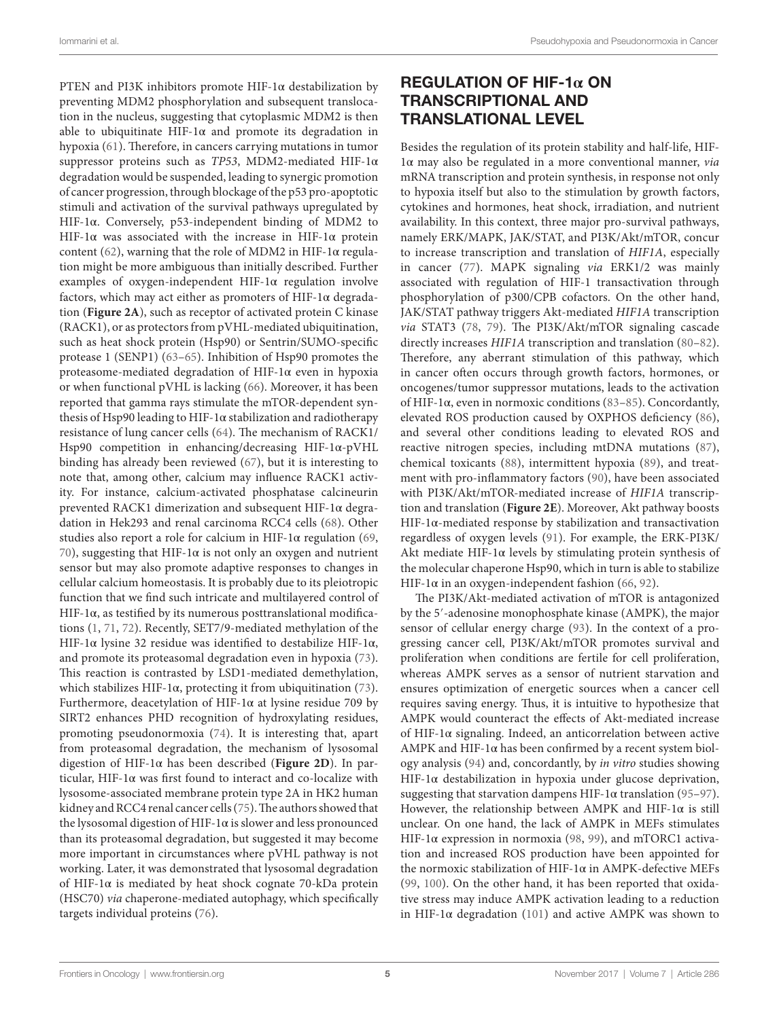PTEN and PI3K inhibitors promote HIF-1 $\alpha$  destabilization by preventing MDM2 phosphorylation and subsequent translocation in the nucleus, suggesting that cytoplasmic MDM2 is then able to ubiquitinate HIF-1 $\alpha$  and promote its degradation in hypoxia [\(61\)](#page-6-31). Therefore, in cancers carrying mutations in tumor suppressor proteins such as *TP53*, MDM2-mediated HIF-1α degradation would be suspended, leading to synergic promotion of cancer progression, through blockage of the p53 pro-apoptotic stimuli and activation of the survival pathways upregulated by HIF-1α. Conversely, p53-independent binding of MDM2 to HIF-1 $\alpha$  was associated with the increase in HIF-1 $\alpha$  protein content ([62](#page-6-32)), warning that the role of MDM2 in HIF-1 $\alpha$  regulation might be more ambiguous than initially described. Further examples of oxygen-independent HIF-1α regulation involve factors, which may act either as promoters of HIF-1 $\alpha$  degradation (**[Figure 2A](#page-2-0)**), such as receptor of activated protein C kinase (RACK1), or as protectors from pVHL-mediated ubiquitination, such as heat shock protein (Hsp90) or Sentrin/SUMO-specific protease 1 (SENP1) ([63](#page-6-33)[–65\)](#page-6-34). Inhibition of Hsp90 promotes the proteasome-mediated degradation of HIF-1α even in hypoxia or when functional pVHL is lacking ([66\)](#page-6-35). Moreover, it has been reported that gamma rays stimulate the mTOR-dependent synthesis of Hsp90 leading to HIF-1α stabilization and radiotherapy resistance of lung cancer cells [\(64\)](#page-6-36). The mechanism of RACK1/ Hsp90 competition in enhancing/decreasing HIF-1α-pVHL binding has already been reviewed ([67](#page-7-0)), but it is interesting to note that, among other, calcium may influence RACK1 activity. For instance, calcium-activated phosphatase calcineurin prevented RACK1 dimerization and subsequent HIF-1α degradation in Hek293 and renal carcinoma RCC4 cells ([68\)](#page-7-1). Other studies also report a role for calcium in HIF-1α regulation ([69,](#page-7-2) [70\)](#page-7-3), suggesting that HIF-1 $\alpha$  is not only an oxygen and nutrient sensor but may also promote adaptive responses to changes in cellular calcium homeostasis. It is probably due to its pleiotropic function that we find such intricate and multilayered control of HIF-1α, as testified by its numerous posttranslational modifications [\(1,](#page-5-0) [71,](#page-7-4) [72\)](#page-7-5). Recently, SET7/9-mediated methylation of the HIF-1α lysine 32 residue was identified to destabilize HIF-1α, and promote its proteasomal degradation even in hypoxia [\(73\)](#page-7-6). This reaction is contrasted by LSD1-mediated demethylation, which stabilizes HIF-1 $\alpha$ , protecting it from ubiquitination [\(73\)](#page-7-6). Furthermore, deacetylation of HIF-1α at lysine residue 709 by SIRT2 enhances PHD recognition of hydroxylating residues, promoting pseudonormoxia [\(74\)](#page-7-7). It is interesting that, apart from proteasomal degradation, the mechanism of lysosomal digestion of HIF-1α has been described (**[Figure 2D](#page-2-0)**). In particular, HIF-1 $\alpha$  was first found to interact and co-localize with lysosome-associated membrane protein type 2A in HK2 human kidney and RCC4 renal cancer cells ([75](#page-7-8)). The authors showed that the lysosomal digestion of HIF-1 $\alpha$  is slower and less pronounced than its proteasomal degradation, but suggested it may become more important in circumstances where pVHL pathway is not working. Later, it was demonstrated that lysosomal degradation of HIF-1 $\alpha$  is mediated by heat shock cognate 70-kDa protein (HSC70) *via* chaperone-mediated autophagy, which specifically targets individual proteins [\(76](#page-7-9)).

## REGULATION OF HIF-1**α** ON TRANSCRIPTIONAL AND TRANSLATIONAL LEVEL

Besides the regulation of its protein stability and half-life, HIF-1α may also be regulated in a more conventional manner, *via* mRNA transcription and protein synthesis, in response not only to hypoxia itself but also to the stimulation by growth factors, cytokines and hormones, heat shock, irradiation, and nutrient availability. In this context, three major pro-survival pathways, namely ERK/MAPK, JAK/STAT, and PI3K/Akt/mTOR, concur to increase transcription and translation of *HIF1A*, especially in cancer [\(77\)](#page-7-10). MAPK signaling *via* ERK1/2 was mainly associated with regulation of HIF-1 transactivation through phosphorylation of p300/CPB cofactors. On the other hand, JAK/STAT pathway triggers Akt-mediated *HIF1A* transcription *via* STAT3 [\(78,](#page-7-11) [79](#page-7-12)). The PI3K/Akt/mTOR signaling cascade directly increases *HIF1A* transcription and translation ([80](#page-7-13)[–82](#page-7-14)). Therefore, any aberrant stimulation of this pathway, which in cancer often occurs through growth factors, hormones, or oncogenes/tumor suppressor mutations, leads to the activation of HIF-1α, even in normoxic conditions [\(83](#page-7-15)[–85\)](#page-7-16). Concordantly, elevated ROS production caused by OXPHOS deficiency [\(86](#page-7-17)), and several other conditions leading to elevated ROS and reactive nitrogen species, including mtDNA mutations [\(87](#page-7-18)), chemical toxicants ([88](#page-7-19)), intermittent hypoxia [\(89\)](#page-7-20), and treatment with pro-inflammatory factors [\(90\)](#page-7-21), have been associated with PI3K/Akt/mTOR-mediated increase of *HIF1A* transcription and translation (**[Figure 2E](#page-2-0)**). Moreover, Akt pathway boosts HIF-1α-mediated response by stabilization and transactivation regardless of oxygen levels ([91\)](#page-7-22). For example, the ERK-PI3K/ Akt mediate HIF-1 $\alpha$  levels by stimulating protein synthesis of the molecular chaperone Hsp90, which in turn is able to stabilize HIF-1 $\alpha$  in an oxygen-independent fashion [\(66,](#page-6-35) [92](#page-7-23)).

The PI3K/Akt-mediated activation of mTOR is antagonized by the 5′-adenosine monophosphate kinase (AMPK), the major sensor of cellular energy charge ([93](#page-7-24)). In the context of a progressing cancer cell, PI3K/Akt/mTOR promotes survival and proliferation when conditions are fertile for cell proliferation, whereas AMPK serves as a sensor of nutrient starvation and ensures optimization of energetic sources when a cancer cell requires saving energy. Thus, it is intuitive to hypothesize that AMPK would counteract the effects of Akt-mediated increase of HIF-1α signaling. Indeed, an anticorrelation between active AMPK and HIF-1α has been confirmed by a recent system biology analysis [\(94\)](#page-7-25) and, concordantly, by *in vitro* studies showing HIF-1α destabilization in hypoxia under glucose deprivation, suggesting that starvation dampens HIF-1 $\alpha$  translation ([95](#page-7-26)[–97](#page-7-27)). However, the relationship between AMPK and HIF-1 $\alpha$  is still unclear. On one hand, the lack of AMPK in MEFs stimulates HIF-1α expression in normoxia [\(98,](#page-7-28) [99\)](#page-7-29), and mTORC1 activation and increased ROS production have been appointed for the normoxic stabilization of HIF-1α in AMPK-defective MEFs [\(99,](#page-7-29) [100\)](#page-7-30). On the other hand, it has been reported that oxidative stress may induce AMPK activation leading to a reduction in HIF-1 $\alpha$  degradation [\(101](#page-7-31)) and active AMPK was shown to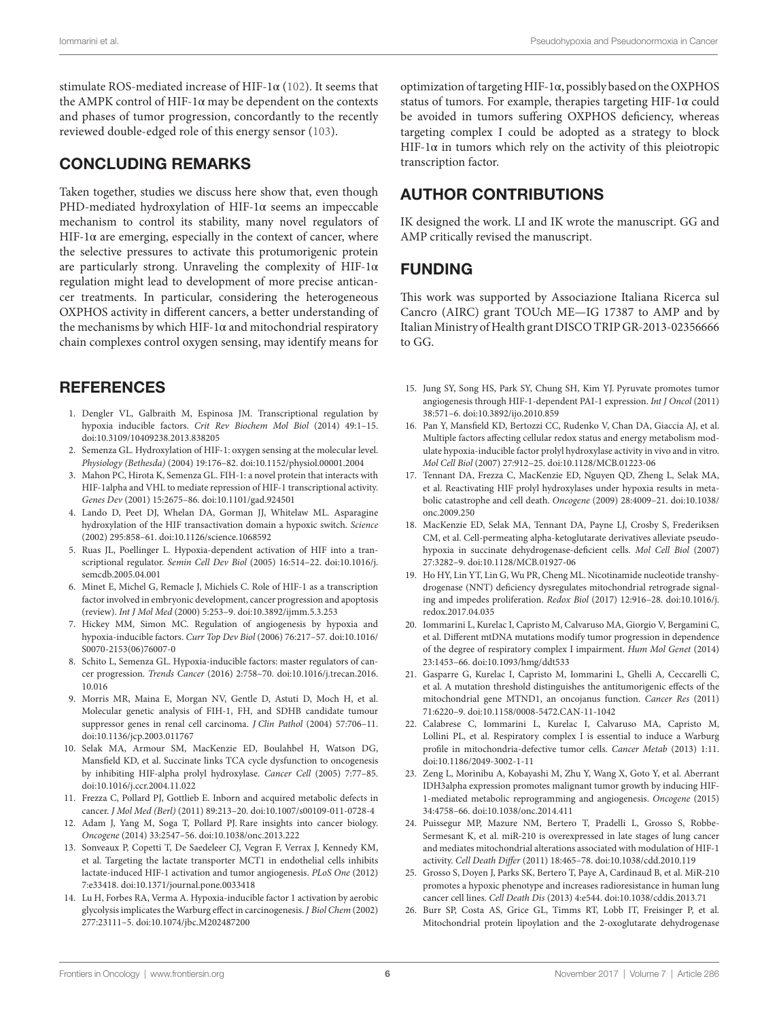stimulate ROS-mediated increase of HIF-1 $\alpha$  [\(102](#page-7-32)). It seems that the AMPK control of HIF-1 $\alpha$  may be dependent on the contexts and phases of tumor progression, concordantly to the recently reviewed double-edged role of this energy sensor [\(103\)](#page-8-0).

#### CONCLUDING REMARKS

Taken together, studies we discuss here show that, even though PHD-mediated hydroxylation of HIF-1α seems an impeccable mechanism to control its stability, many novel regulators of HIF-1 $\alpha$  are emerging, especially in the context of cancer, where the selective pressures to activate this protumorigenic protein are particularly strong. Unraveling the complexity of HIF-1α regulation might lead to development of more precise anticancer treatments. In particular, considering the heterogeneous OXPHOS activity in different cancers, a better understanding of the mechanisms by which HIF-1 $\alpha$  and mitochondrial respiratory chain complexes control oxygen sensing, may identify means for

#### **REFERENCES**

- <span id="page-5-0"></span>1. Dengler VL, Galbraith M, Espinosa JM. Transcriptional regulation by hypoxia inducible factors. *Crit Rev Biochem Mol Biol* (2014) 49:1–15. doi:[10.3109/10409238.2013.838205](https://doi.org/10.3109/10409238.2013.838205)
- <span id="page-5-1"></span>2. Semenza GL. Hydroxylation of HIF-1: oxygen sensing at the molecular level. *Physiology (Bethesda)* (2004) 19:176–82. doi[:10.1152/physiol.00001.2004](https://doi.org/10.1152/physiol.00001.2004)
- <span id="page-5-2"></span>3. Mahon PC, Hirota K, Semenza GL. FIH-1: a novel protein that interacts with HIF-1alpha and VHL to mediate repression of HIF-1 transcriptional activity. *Genes Dev* (2001) 15:2675–86. doi:[10.1101/gad.924501](https://doi.org/10.1101/gad.924501)
- <span id="page-5-3"></span>4. Lando D, Peet DJ, Whelan DA, Gorman JJ, Whitelaw ML. Asparagine hydroxylation of the HIF transactivation domain a hypoxic switch. *Science* (2002) 295:858–61. doi[:10.1126/science.1068592](https://doi.org/10.1126/science.1068592)
- <span id="page-5-4"></span>5. Ruas JL, Poellinger L. Hypoxia-dependent activation of HIF into a transcriptional regulator. *Semin Cell Dev Biol* (2005) 16:514–22. doi:[10.1016/j.](https://doi.org/10.1016/j.semcdb.2005.04.001) [semcdb.2005.04.001](https://doi.org/10.1016/j.semcdb.2005.04.001)
- <span id="page-5-5"></span>6. Minet E, Michel G, Remacle J, Michiels C. Role of HIF-1 as a transcription factor involved in embryonic development, cancer progression and apoptosis (review). *Int J Mol Med* (2000) 5:253–9. doi[:10.3892/ijmm.5.3.253](https://doi.org/10.3892/ijmm.5.3.253)
- <span id="page-5-6"></span>7. Hickey MM, Simon MC. Regulation of angiogenesis by hypoxia and hypoxia-inducible factors. *Curr Top Dev Biol* (2006) 76:217–57. doi[:10.1016/](https://doi.org/10.1016/S0070-2153(06)76007-0) [S0070-2153\(06\)76007-0](https://doi.org/10.1016/S0070-2153(06)76007-0)
- <span id="page-5-7"></span>8. Schito L, Semenza GL. Hypoxia-inducible factors: master regulators of cancer progression. *Trends Cancer* (2016) 2:758–70. doi[:10.1016/j.trecan.2016.](https://doi.org/10.1016/j.trecan.2016.
10.016) [10.016](https://doi.org/10.1016/j.trecan.2016.
10.016)
- <span id="page-5-8"></span>9. Morris MR, Maina E, Morgan NV, Gentle D, Astuti D, Moch H, et al. Molecular genetic analysis of FIH-1, FH, and SDHB candidate tumour suppressor genes in renal cell carcinoma. *J Clin Pathol* (2004) 57:706–11. doi:[10.1136/jcp.2003.011767](https://doi.org/10.1136/jcp.2003.011767)
- <span id="page-5-9"></span>10. Selak MA, Armour SM, MacKenzie ED, Boulahbel H, Watson DG, Mansfield KD, et al. Succinate links TCA cycle dysfunction to oncogenesis by inhibiting HIF-alpha prolyl hydroxylase. *Cancer Cell* (2005) 7:77–85. doi:[10.1016/j.ccr.2004.11.022](https://doi.org/10.1016/j.ccr.2004.11.022)
- <span id="page-5-10"></span>11. Frezza C, Pollard PJ, Gottlieb E. Inborn and acquired metabolic defects in cancer. *J Mol Med (Berl)* (2011) 89:213–20. doi[:10.1007/s00109-011-0728-4](https://doi.org/10.1007/s00109-011-0728-4)
- <span id="page-5-11"></span>12. Adam J, Yang M, Soga T, Pollard PJ. Rare insights into cancer biology. *Oncogene* (2014) 33:2547–56. doi[:10.1038/onc.2013.222](https://doi.org/10.1038/onc.2013.222)
- <span id="page-5-12"></span>13. Sonveaux P, Copetti T, De Saedeleer CJ, Vegran F, Verrax J, Kennedy KM, et al. Targeting the lactate transporter MCT1 in endothelial cells inhibits lactate-induced HIF-1 activation and tumor angiogenesis. *PLoS One* (2012) 7:e33418. doi:[10.1371/journal.pone.0033418](https://doi.org/10.1371/journal.pone.0033418)
- 14. Lu H, Forbes RA, Verma A. Hypoxia-inducible factor 1 activation by aerobic glycolysis implicates the Warburg effect in carcinogenesis. *J Biol Chem* (2002) 277:23111–5. doi[:10.1074/jbc.M202487200](https://doi.org/10.1074/jbc.M202487200)

optimization of targeting HIF-1α, possibly based on the OXPHOS status of tumors. For example, therapies targeting HIF-1α could be avoided in tumors suffering OXPHOS deficiency, whereas targeting complex I could be adopted as a strategy to block HIF-1 $\alpha$  in tumors which rely on the activity of this pleiotropic transcription factor.

## AUTHOR CONTRIBUTIONS

IK designed the work. LI and IK wrote the manuscript. GG and AMP critically revised the manuscript.

#### FUNDING

This work was supported by Associazione Italiana Ricerca sul Cancro (AIRC) grant TOUch ME—IG 17387 to AMP and by Italian Ministry of Health grant DISCO TRIP GR-2013-02356666 to GG.

- <span id="page-5-13"></span>15. Jung SY, Song HS, Park SY, Chung SH, Kim YJ. Pyruvate promotes tumor angiogenesis through HIF-1-dependent PAI-1 expression. *Int J Oncol* (2011) 38:571–6. doi[:10.3892/ijo.2010.859](https://doi.org/10.3892/ijo.2010.859)
- <span id="page-5-14"></span>16. Pan Y, Mansfield KD, Bertozzi CC, Rudenko V, Chan DA, Giaccia AJ, et al. Multiple factors affecting cellular redox status and energy metabolism modulate hypoxia-inducible factor prolyl hydroxylase activity in vivo and in vitro. *Mol Cell Biol* (2007) 27:912–25. doi:[10.1128/MCB.01223-06](https://doi.org/10.1128/MCB.01223-06)
- <span id="page-5-15"></span>17. Tennant DA, Frezza C, MacKenzie ED, Nguyen QD, Zheng L, Selak MA, et al. Reactivating HIF prolyl hydroxylases under hypoxia results in metabolic catastrophe and cell death. *Oncogene* (2009) 28:4009–21. doi[:10.1038/](https://doi.org/10.1038/onc.2009.250) [onc.2009.250](https://doi.org/10.1038/onc.2009.250)
- <span id="page-5-16"></span>18. MacKenzie ED, Selak MA, Tennant DA, Payne LJ, Crosby S, Frederiksen CM, et al. Cell-permeating alpha-ketoglutarate derivatives alleviate pseudohypoxia in succinate dehydrogenase-deficient cells. *Mol Cell Biol* (2007) 27:3282–9. doi:[10.1128/MCB.01927-06](https://doi.org/10.1128/MCB.01927-06)
- <span id="page-5-17"></span>19. Ho HY, Lin YT, Lin G, Wu PR, Cheng ML. Nicotinamide nucleotide transhydrogenase (NNT) deficiency dysregulates mitochondrial retrograde signaling and impedes proliferation. *Redox Biol* (2017) 12:916–28. doi:[10.1016/j.](https://doi.org/10.1016/j.redox.2017.04.035) [redox.2017.04.035](https://doi.org/10.1016/j.redox.2017.04.035)
- <span id="page-5-23"></span>20. Iommarini L, Kurelac I, Capristo M, Calvaruso MA, Giorgio V, Bergamini C, et al. Different mtDNA mutations modify tumor progression in dependence of the degree of respiratory complex I impairment. *Hum Mol Genet* (2014) 23:1453–66. doi:[10.1093/hmg/ddt533](https://doi.org/10.1093/hmg/ddt533)
- <span id="page-5-24"></span>21. Gasparre G, Kurelac I, Capristo M, Iommarini L, Ghelli A, Ceccarelli C, et al. A mutation threshold distinguishes the antitumorigenic effects of the mitochondrial gene MTND1, an oncojanus function. *Cancer Res* (2011) 71:6220–9. doi:[10.1158/0008-5472.CAN-11-1042](https://doi.org/10.1158/0008-5472.CAN-11-1042)
- <span id="page-5-18"></span>22. Calabrese C, Iommarini L, Kurelac I, Calvaruso MA, Capristo M, Lollini PL, et al. Respiratory complex I is essential to induce a Warburg profile in mitochondria-defective tumor cells. *Cancer Metab* (2013) 1:11. doi:[10.1186/2049-3002-1-11](https://doi.org/10.1186/2049-3002-1-11)
- <span id="page-5-19"></span>23. Zeng L, Morinibu A, Kobayashi M, Zhu Y, Wang X, Goto Y, et al. Aberrant IDH3alpha expression promotes malignant tumor growth by inducing HIF-1-mediated metabolic reprogramming and angiogenesis. *Oncogene* (2015) 34:4758–66. doi:[10.1038/onc.2014.411](https://doi.org/10.1038/onc.2014.411)
- <span id="page-5-20"></span>24. Puissegur MP, Mazure NM, Bertero T, Pradelli L, Grosso S, Robbe-Sermesant K, et al. miR-210 is overexpressed in late stages of lung cancer and mediates mitochondrial alterations associated with modulation of HIF-1 activity. *Cell Death Differ* (2011) 18:465–78. doi[:10.1038/cdd.2010.119](https://doi.org/10.1038/cdd.2010.119)
- <span id="page-5-21"></span>25. Grosso S, Doyen J, Parks SK, Bertero T, Paye A, Cardinaud B, et al. MiR-210 promotes a hypoxic phenotype and increases radioresistance in human lung cancer cell lines. *Cell Death Dis* (2013) 4:e544. doi:[10.1038/cddis.2013.71](https://doi.org/10.1038/cddis.2013.71)
- <span id="page-5-22"></span>26. Burr SP, Costa AS, Grice GL, Timms RT, Lobb IT, Freisinger P, et al. Mitochondrial protein lipoylation and the 2-oxoglutarate dehydrogenase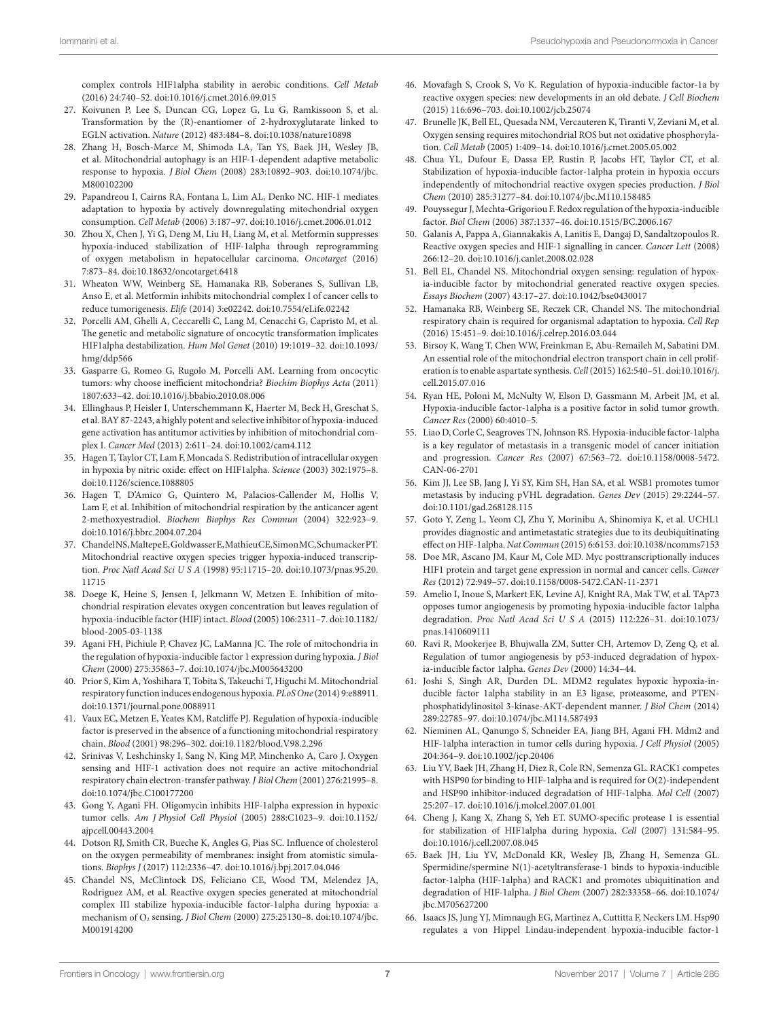<span id="page-6-0"></span>complex controls HIF1alpha stability in aerobic conditions. *Cell Metab* (2016) 24:740–52. doi[:10.1016/j.cmet.2016.09.015](https://doi.org/10.1016/j.cmet.2016.09.015)

- 27. Koivunen P, Lee S, Duncan CG, Lopez G, Lu G, Ramkissoon S, et al. Transformation by the (R)-enantiomer of 2-hydroxyglutarate linked to EGLN activation. *Nature* (2012) 483:484–8. doi[:10.1038/nature10898](https://doi.org/10.1038/nature10898)
- <span id="page-6-1"></span>28. Zhang H, Bosch-Marce M, Shimoda LA, Tan YS, Baek JH, Wesley JB, et al. Mitochondrial autophagy is an HIF-1-dependent adaptive metabolic response to hypoxia. *J Biol Chem* (2008) 283:10892–903. doi:[10.1074/jbc.](https://doi.org/10.1074/jbc.M800102200) [M800102200](https://doi.org/10.1074/jbc.M800102200)
- <span id="page-6-2"></span>29. Papandreou I, Cairns RA, Fontana L, Lim AL, Denko NC. HIF-1 mediates adaptation to hypoxia by actively downregulating mitochondrial oxygen consumption. *Cell Metab* (2006) 3:187–97. doi[:10.1016/j.cmet.2006.01.012](https://doi.org/10.1016/j.cmet.2006.01.012)
- <span id="page-6-3"></span>30. Zhou X, Chen J, Yi G, Deng M, Liu H, Liang M, et al. Metformin suppresses hypoxia-induced stabilization of HIF-1alpha through reprogramming of oxygen metabolism in hepatocellular carcinoma. *Oncotarget* (2016) 7:873–84. doi:[10.18632/oncotarget.6418](https://doi.org/10.18632/oncotarget.6418)
- <span id="page-6-21"></span>31. Wheaton WW, Weinberg SE, Hamanaka RB, Soberanes S, Sullivan LB, Anso E, et al. Metformin inhibits mitochondrial complex I of cancer cells to reduce tumorigenesis. *Elife* (2014) 3:e02242. doi[:10.7554/eLife.02242](https://doi.org/10.7554/eLife.02242)
- 32. Porcelli AM, Ghelli A, Ceccarelli C, Lang M, Cenacchi G, Capristo M, et al. The genetic and metabolic signature of oncocytic transformation implicates HIF1alpha destabilization. *Hum Mol Genet* (2010) 19:1019–32. doi[:10.1093/](https://doi.org/10.1093/hmg/ddp566) [hmg/ddp566](https://doi.org/10.1093/hmg/ddp566)
- <span id="page-6-22"></span>33. Gasparre G, Romeo G, Rugolo M, Porcelli AM. Learning from oncocytic tumors: why choose inefficient mitochondria? *Biochim Biophys Acta* (2011) 1807:633–42. doi[:10.1016/j.bbabio.2010.08.006](https://doi.org/10.1016/j.bbabio.2010.08.006)
- <span id="page-6-4"></span>34. Ellinghaus P, Heisler I, Unterschemmann K, Haerter M, Beck H, Greschat S, et al. BAY 87-2243, a highly potent and selective inhibitor of hypoxia-induced gene activation has antitumor activities by inhibition of mitochondrial complex I. *Cancer Med* (2013) 2:611–24. doi[:10.1002/cam4.112](https://doi.org/10.1002/cam4.112)
- <span id="page-6-5"></span>35. Hagen T, Taylor CT, Lam F, Moncada S. Redistribution of intracellular oxygen in hypoxia by nitric oxide: effect on HIF1alpha. *Science* (2003) 302:1975–8. doi:[10.1126/science.1088805](https://doi.org/10.1126/science.1088805)
- <span id="page-6-6"></span>36. Hagen T, D'Amico G, Quintero M, Palacios-Callender M, Hollis V, Lam F, et al. Inhibition of mitochondrial respiration by the anticancer agent 2-methoxyestradiol. *Biochem Biophys Res Commun* (2004) 322:923–9. doi:[10.1016/j.bbrc.2004.07.204](https://doi.org/10.1016/j.bbrc.2004.07.204)
- <span id="page-6-7"></span>37. Chandel NS, Maltepe E, Goldwasser E, Mathieu CE, Simon MC, Schumacker PT. Mitochondrial reactive oxygen species trigger hypoxia-induced transcription. *Proc Natl Acad Sci U S A* (1998) 95:11715–20. doi:[10.1073/pnas.95.20.](https://doi.org/10.1073/pnas.95.20.
11715) [11715](https://doi.org/10.1073/pnas.95.20.
11715)
- 38. Doege K, Heine S, Jensen I, Jelkmann W, Metzen E. Inhibition of mitochondrial respiration elevates oxygen concentration but leaves regulation of hypoxia-inducible factor (HIF) intact. *Blood* (2005) 106:2311–7. doi[:10.1182/](https://doi.org/10.1182/blood-2005-03-1138) [blood-2005-03-1138](https://doi.org/10.1182/blood-2005-03-1138)
- <span id="page-6-8"></span>39. Agani FH, Pichiule P, Chavez JC, LaManna JC. The role of mitochondria in the regulation of hypoxia-inducible factor 1 expression during hypoxia. *J Biol Chem* (2000) 275:35863–7. doi:[10.1074/jbc.M005643200](https://doi.org/10.1074/jbc.M005643200)
- <span id="page-6-9"></span>40. Prior S, Kim A, Yoshihara T, Tobita S, Takeuchi T, Higuchi M. Mitochondrial respiratory function induces endogenous hypoxia. *PLoS One* (2014) 9:e88911. doi:[10.1371/journal.pone.0088911](https://doi.org/10.1371/journal.pone.0088911)
- <span id="page-6-10"></span>41. Vaux EC, Metzen E, Yeates KM, Ratcliffe PJ. Regulation of hypoxia-inducible factor is preserved in the absence of a functioning mitochondrial respiratory chain. *Blood* (2001) 98:296–302. doi:[10.1182/blood.V98.2.296](https://doi.org/10.1182/blood.V98.2.296)
- <span id="page-6-11"></span>42. Srinivas V, Leshchinsky I, Sang N, King MP, Minchenko A, Caro J. Oxygen sensing and HIF-1 activation does not require an active mitochondrial respiratory chain electron-transfer pathway. *J Biol Chem* (2001) 276:21995–8. doi:[10.1074/jbc.C100177200](https://doi.org/10.1074/jbc.C100177200)
- <span id="page-6-12"></span>43. Gong Y, Agani FH. Oligomycin inhibits HIF-1alpha expression in hypoxic tumor cells. *Am J Physiol Cell Physiol* (2005) 288:C1023–9. doi[:10.1152/](https://doi.org/10.1152/ajpcell.00443.2004) [ajpcell.00443.2004](https://doi.org/10.1152/ajpcell.00443.2004)
- <span id="page-6-13"></span>44. Dotson RJ, Smith CR, Bueche K, Angles G, Pias SC. Influence of cholesterol on the oxygen permeability of membranes: insight from atomistic simulations. *Biophys J* (2017) 112:2336–47. doi:[10.1016/j.bpj.2017.04.046](https://doi.org/10.1016/j.bpj.2017.04.046)
- <span id="page-6-14"></span>45. Chandel NS, McClintock DS, Feliciano CE, Wood TM, Melendez JA, Rodriguez AM, et al. Reactive oxygen species generated at mitochondrial complex III stabilize hypoxia-inducible factor-1alpha during hypoxia: a mechanism of O2 sensing. *J Biol Chem* (2000) 275:25130–8. doi:[10.1074/jbc.](https://doi.org/10.1074/jbc.M001914200) [M001914200](https://doi.org/10.1074/jbc.M001914200)
- <span id="page-6-15"></span>46. Movafagh S, Crook S, Vo K. Regulation of hypoxia-inducible factor-1a by reactive oxygen species: new developments in an old debate. *J Cell Biochem* (2015) 116:696–703. doi[:10.1002/jcb.25074](https://doi.org/10.1002/jcb.25074)
- <span id="page-6-16"></span>47. Brunelle JK, Bell EL, Quesada NM, Vercauteren K, Tiranti V, Zeviani M, et al. Oxygen sensing requires mitochondrial ROS but not oxidative phosphorylation. *Cell Metab* (2005) 1:409–14. doi:[10.1016/j.cmet.2005.05.002](https://doi.org/10.1016/j.cmet.2005.05.002)
- <span id="page-6-17"></span>48. Chua YL, Dufour E, Dassa EP, Rustin P, Jacobs HT, Taylor CT, et al. Stabilization of hypoxia-inducible factor-1alpha protein in hypoxia occurs independently of mitochondrial reactive oxygen species production. *J Biol Chem* (2010) 285:31277–84. doi[:10.1074/jbc.M110.158485](https://doi.org/10.1074/jbc.M110.158485)
- <span id="page-6-18"></span>Pouyssegur J, Mechta-Grigoriou F. Redox regulation of the hypoxia-inducible factor. *Biol Chem* (2006) 387:1337–46. doi[:10.1515/BC.2006.167](https://doi.org/10.1515/BC.2006.167)
- 50. Galanis A, Pappa A, Giannakakis A, Lanitis E, Dangaj D, Sandaltzopoulos R. Reactive oxygen species and HIF-1 signalling in cancer. *Cancer Lett* (2008) 266:12–20. doi:[10.1016/j.canlet.2008.02.028](https://doi.org/10.1016/j.canlet.2008.02.028)
- <span id="page-6-19"></span>51. Bell EL, Chandel NS. Mitochondrial oxygen sensing: regulation of hypoxia-inducible factor by mitochondrial generated reactive oxygen species. *Essays Biochem* (2007) 43:17–27. doi:[10.1042/bse0430017](https://doi.org/10.1042/bse0430017)
- <span id="page-6-20"></span>52. Hamanaka RB, Weinberg SE, Reczek CR, Chandel NS. The mitochondrial respiratory chain is required for organismal adaptation to hypoxia. *Cell Rep* (2016) 15:451–9. doi:[10.1016/j.celrep.2016.03.044](https://doi.org/10.1016/j.celrep.2016.03.044)
- <span id="page-6-23"></span>53. Birsoy K, Wang T, Chen WW, Freinkman E, Abu-Remaileh M, Sabatini DM. An essential role of the mitochondrial electron transport chain in cell proliferation is to enable aspartate synthesis. *Cell* (2015) 162:540–51. doi:[10.1016/j.](https://doi.org/10.1016/j.cell.2015.07.016) [cell.2015.07.016](https://doi.org/10.1016/j.cell.2015.07.016)
- <span id="page-6-24"></span>54. Ryan HE, Poloni M, McNulty W, Elson D, Gassmann M, Arbeit JM, et al. Hypoxia-inducible factor-1alpha is a positive factor in solid tumor growth. *Cancer Res* (2000) 60:4010–5.
- <span id="page-6-25"></span>55. Liao D, Corle C, Seagroves TN, Johnson RS. Hypoxia-inducible factor-1alpha is a key regulator of metastasis in a transgenic model of cancer initiation and progression. *Cancer Res* (2007) 67:563–72. doi:[10.1158/0008-5472.](https://doi.org/10.1158/0008-5472.CAN-06-2701) [CAN-06-2701](https://doi.org/10.1158/0008-5472.CAN-06-2701)
- <span id="page-6-26"></span>56. Kim JJ, Lee SB, Jang J, Yi SY, Kim SH, Han SA, et al. WSB1 promotes tumor metastasis by inducing pVHL degradation. *Genes Dev* (2015) 29:2244–57. doi:[10.1101/gad.268128.115](https://doi.org/10.1101/gad.268128.115)
- <span id="page-6-27"></span>57. Goto Y, Zeng L, Yeom CJ, Zhu Y, Morinibu A, Shinomiya K, et al. UCHL1 provides diagnostic and antimetastatic strategies due to its deubiquitinating effect on HIF-1alpha. *Nat Commun* (2015) 6:6153. doi:[10.1038/ncomms7153](https://doi.org/10.1038/ncomms7153)
- <span id="page-6-28"></span>58. Doe MR, Ascano JM, Kaur M, Cole MD. Myc posttranscriptionally induces HIF1 protein and target gene expression in normal and cancer cells. *Cancer Res* (2012) 72:949–57. doi:[10.1158/0008-5472.CAN-11-2371](https://doi.org/10.1158/0008-5472.CAN-11-2371)
- <span id="page-6-29"></span>59. Amelio I, Inoue S, Markert EK, Levine AJ, Knight RA, Mak TW, et al. TAp73 opposes tumor angiogenesis by promoting hypoxia-inducible factor 1alpha degradation. *Proc Natl Acad Sci U S A* (2015) 112:226–31. doi[:10.1073/](https://doi.org/10.1073/pnas.1410609111) [pnas.1410609111](https://doi.org/10.1073/pnas.1410609111)
- <span id="page-6-30"></span>60. Ravi R, Mookerjee B, Bhujwalla ZM, Sutter CH, Artemov D, Zeng Q, et al. Regulation of tumor angiogenesis by p53-induced degradation of hypoxia-inducible factor 1alpha. *Genes Dev* (2000) 14:34–44.
- <span id="page-6-31"></span>61. Joshi S, Singh AR, Durden DL. MDM2 regulates hypoxic hypoxia-inducible factor 1alpha stability in an E3 ligase, proteasome, and PTENphosphatidylinositol 3-kinase-AKT-dependent manner. *J Biol Chem* (2014) 289:22785–97. doi:[10.1074/jbc.M114.587493](https://doi.org/10.1074/jbc.M114.587493)
- <span id="page-6-32"></span>62. Nieminen AL, Qanungo S, Schneider EA, Jiang BH, Agani FH. Mdm2 and HIF-1alpha interaction in tumor cells during hypoxia. *J Cell Physiol* (2005) 204:364–9. doi:[10.1002/jcp.20406](https://doi.org/10.1002/jcp.20406)
- <span id="page-6-33"></span>63. Liu YV, Baek JH, Zhang H, Diez R, Cole RN, Semenza GL. RACK1 competes with HSP90 for binding to HIF-1alpha and is required for O(2)-independent and HSP90 inhibitor-induced degradation of HIF-1alpha. *Mol Cell* (2007) 25:207–17. doi:[10.1016/j.molcel.2007.01.001](https://doi.org/10.1016/j.molcel.2007.01.001)
- <span id="page-6-36"></span>64. Cheng J, Kang X, Zhang S, Yeh ET. SUMO-specific protease 1 is essential for stabilization of HIF1alpha during hypoxia. *Cell* (2007) 131:584–95. doi:[10.1016/j.cell.2007.08.045](https://doi.org/10.1016/j.cell.2007.08.045)
- <span id="page-6-34"></span>65. Baek JH, Liu YV, McDonald KR, Wesley JB, Zhang H, Semenza GL. Spermidine/spermine N(1)-acetyltransferase-1 binds to hypoxia-inducible factor-1alpha (HIF-1alpha) and RACK1 and promotes ubiquitination and degradation of HIF-1alpha. *J Biol Chem* (2007) 282:33358–66. doi[:10.1074/](https://doi.org/10.1074/jbc.M705627200) [jbc.M705627200](https://doi.org/10.1074/jbc.M705627200)
- <span id="page-6-35"></span>66. Isaacs JS, Jung YJ, Mimnaugh EG, Martinez A, Cuttitta F, Neckers LM. Hsp90 regulates a von Hippel Lindau-independent hypoxia-inducible factor-1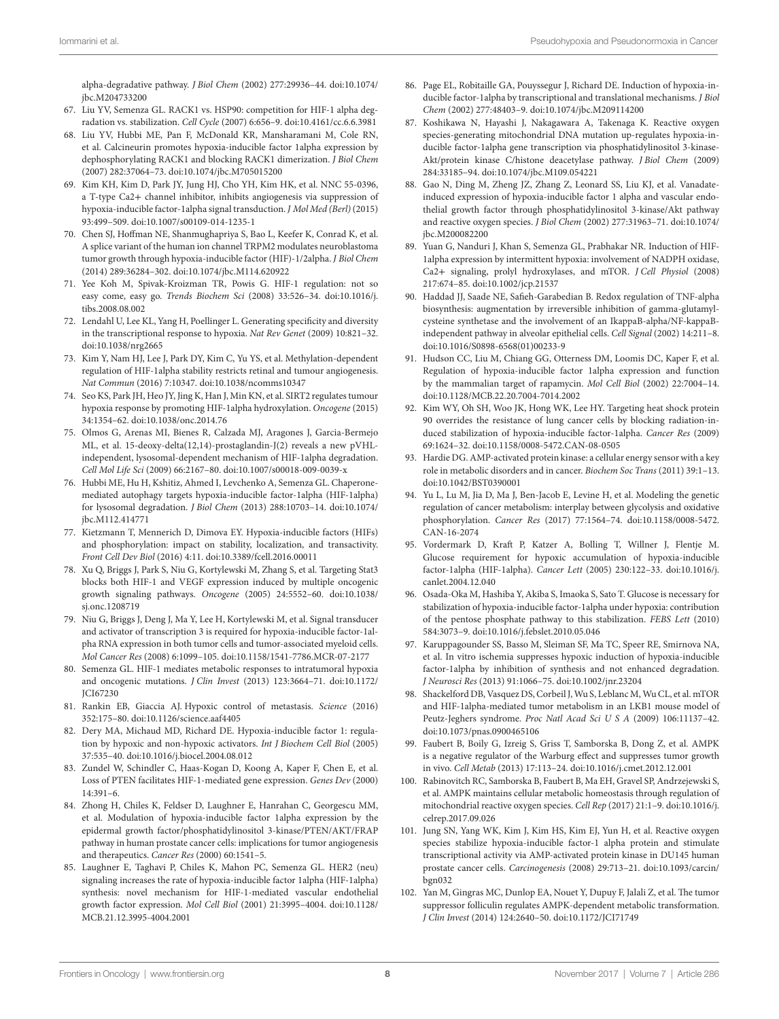<span id="page-7-0"></span>alpha-degradative pathway. *J Biol Chem* (2002) 277:29936–44. doi[:10.1074/](https://doi.org/10.1074/jbc.M204733200) [jbc.M204733200](https://doi.org/10.1074/jbc.M204733200)

- 67. Liu YV, Semenza GL. RACK1 vs. HSP90: competition for HIF-1 alpha degradation vs. stabilization. *Cell Cycle* (2007) 6:656–9. doi[:10.4161/cc.6.6.3981](https://doi.org/10.4161/cc.6.6.3981)
- <span id="page-7-1"></span>68. Liu YV, Hubbi ME, Pan F, McDonald KR, Mansharamani M, Cole RN, et al. Calcineurin promotes hypoxia-inducible factor 1alpha expression by dephosphorylating RACK1 and blocking RACK1 dimerization. *J Biol Chem* (2007) 282:37064–73. doi[:10.1074/jbc.M705015200](https://doi.org/10.1074/jbc.M705015200)
- <span id="page-7-2"></span>69. Kim KH, Kim D, Park JY, Jung HJ, Cho YH, Kim HK, et al. NNC 55-0396, a T-type Ca2+ channel inhibitor, inhibits angiogenesis via suppression of hypoxia-inducible factor-1alpha signal transduction. *J Mol Med (Berl)* (2015) 93:499–509. doi:[10.1007/s00109-014-1235-1](https://doi.org/10.1007/s00109-014-1235-1)
- <span id="page-7-3"></span>70. Chen SJ, Hoffman NE, Shanmughapriya S, Bao L, Keefer K, Conrad K, et al. A splice variant of the human ion channel TRPM2 modulates neuroblastoma tumor growth through hypoxia-inducible factor (HIF)-1/2alpha. *J Biol Chem* (2014) 289:36284–302. doi:[10.1074/jbc.M114.620922](https://doi.org/10.1074/jbc.M114.620922)
- <span id="page-7-4"></span>71. Yee Koh M, Spivak-Kroizman TR, Powis G. HIF-1 regulation: not so easy come, easy go. *Trends Biochem Sci* (2008) 33:526–34. doi:[10.1016/j.](https://doi.org/10.1016/j.tibs.2008.08.002) [tibs.2008.08.002](https://doi.org/10.1016/j.tibs.2008.08.002)
- <span id="page-7-5"></span>72. Lendahl U, Lee KL, Yang H, Poellinger L. Generating specificity and diversity in the transcriptional response to hypoxia. *Nat Rev Genet* (2009) 10:821–32. doi:[10.1038/nrg2665](https://doi.org/10.1038/nrg2665)
- <span id="page-7-6"></span>73. Kim Y, Nam HJ, Lee J, Park DY, Kim C, Yu YS, et al. Methylation-dependent regulation of HIF-1alpha stability restricts retinal and tumour angiogenesis. *Nat Commun* (2016) 7:10347. doi:[10.1038/ncomms10347](https://doi.org/10.1038/ncomms10347)
- <span id="page-7-7"></span>74. Seo KS, Park JH, Heo JY, Jing K, Han J, Min KN, et al. SIRT2 regulates tumour hypoxia response by promoting HIF-1alpha hydroxylation. *Oncogene* (2015) 34:1354–62. doi:[10.1038/onc.2014.76](https://doi.org/10.1038/onc.2014.76)
- <span id="page-7-8"></span>75. Olmos G, Arenas MI, Bienes R, Calzada MJ, Aragones J, Garcia-Bermejo ML, et al. 15-deoxy-delta(12,14)-prostaglandin-J(2) reveals a new pVHLindependent, lysosomal-dependent mechanism of HIF-1alpha degradation. *Cell Mol Life Sci* (2009) 66:2167–80. doi[:10.1007/s00018-009-0039-x](https://doi.org/10.1007/s00018-009-0039-x)
- <span id="page-7-9"></span>76. Hubbi ME, Hu H, Kshitiz, Ahmed I, Levchenko A, Semenza GL. Chaperonemediated autophagy targets hypoxia-inducible factor-1alpha (HIF-1alpha) for lysosomal degradation. *J Biol Chem* (2013) 288:10703–14. doi[:10.1074/](https://doi.org/10.1074/jbc.M112.414771) [jbc.M112.414771](https://doi.org/10.1074/jbc.M112.414771)
- <span id="page-7-10"></span>77. Kietzmann T, Mennerich D, Dimova EY. Hypoxia-inducible factors (HIFs) and phosphorylation: impact on stability, localization, and transactivity. *Front Cell Dev Biol* (2016) 4:11. doi:[10.3389/fcell.2016.00011](https://doi.org/10.3389/fcell.2016.00011)
- <span id="page-7-11"></span>78. Xu Q, Briggs J, Park S, Niu G, Kortylewski M, Zhang S, et al. Targeting Stat3 blocks both HIF-1 and VEGF expression induced by multiple oncogenic growth signaling pathways. *Oncogene* (2005) 24:5552–60. doi[:10.1038/](https://doi.org/10.1038/sj.onc.1208719) [sj.onc.1208719](https://doi.org/10.1038/sj.onc.1208719)
- <span id="page-7-12"></span>79. Niu G, Briggs J, Deng J, Ma Y, Lee H, Kortylewski M, et al. Signal transducer and activator of transcription 3 is required for hypoxia-inducible factor-1alpha RNA expression in both tumor cells and tumor-associated myeloid cells. *Mol Cancer Res* (2008) 6:1099–105. doi:[10.1158/1541-7786.MCR-07-2177](https://doi.org/10.1158/1541-7786.MCR-07-2177)
- <span id="page-7-13"></span>80. Semenza GL. HIF-1 mediates metabolic responses to intratumoral hypoxia and oncogenic mutations. *J Clin Invest* (2013) 123:3664–71. doi[:10.1172/](https://doi.org/10.1172/JCI67230) [JCI67230](https://doi.org/10.1172/JCI67230)
- 81. Rankin EB, Giaccia AJ. Hypoxic control of metastasis. *Science* (2016) 352:175–80. doi:[10.1126/science.aaf4405](https://doi.org/10.1126/science.aaf4405)
- <span id="page-7-14"></span>82. Dery MA, Michaud MD, Richard DE. Hypoxia-inducible factor 1: regulation by hypoxic and non-hypoxic activators. *Int J Biochem Cell Biol* (2005) 37:535–40. doi[:10.1016/j.biocel.2004.08.012](https://doi.org/10.1016/j.biocel.2004.08.012)
- <span id="page-7-15"></span>83. Zundel W, Schindler C, Haas-Kogan D, Koong A, Kaper F, Chen E, et al. Loss of PTEN facilitates HIF-1-mediated gene expression. *Genes Dev* (2000) 14:391–6.
- 84. Zhong H, Chiles K, Feldser D, Laughner E, Hanrahan C, Georgescu MM, et al. Modulation of hypoxia-inducible factor 1alpha expression by the epidermal growth factor/phosphatidylinositol 3-kinase/PTEN/AKT/FRAP pathway in human prostate cancer cells: implications for tumor angiogenesis and therapeutics. *Cancer Res* (2000) 60:1541–5.
- <span id="page-7-16"></span>85. Laughner E, Taghavi P, Chiles K, Mahon PC, Semenza GL. HER2 (neu) signaling increases the rate of hypoxia-inducible factor 1alpha (HIF-1alpha) synthesis: novel mechanism for HIF-1-mediated vascular endothelial growth factor expression. *Mol Cell Biol* (2001) 21:3995–4004. doi[:10.1128/](https://doi.org/10.1128/MCB.21.12.3995-4004.2001) [MCB.21.12.3995-4004.2001](https://doi.org/10.1128/MCB.21.12.3995-4004.2001)
- <span id="page-7-17"></span>86. Page EL, Robitaille GA, Pouyssegur J, Richard DE. Induction of hypoxia-inducible factor-1alpha by transcriptional and translational mechanisms. *J Biol Chem* (2002) 277:48403–9. doi:[10.1074/jbc.M209114200](https://doi.org/10.1074/jbc.M209114200)
- <span id="page-7-18"></span>87. Koshikawa N, Hayashi J, Nakagawara A, Takenaga K. Reactive oxygen species-generating mitochondrial DNA mutation up-regulates hypoxia-inducible factor-1alpha gene transcription via phosphatidylinositol 3-kinase-Akt/protein kinase C/histone deacetylase pathway. *J Biol Chem* (2009) 284:33185–94. doi:[10.1074/jbc.M109.054221](https://doi.org/10.1074/jbc.M109.054221)
- <span id="page-7-19"></span>88. Gao N, Ding M, Zheng JZ, Zhang Z, Leonard SS, Liu KJ, et al. Vanadateinduced expression of hypoxia-inducible factor 1 alpha and vascular endothelial growth factor through phosphatidylinositol 3-kinase/Akt pathway and reactive oxygen species. *J Biol Chem* (2002) 277:31963–71. doi[:10.1074/](https://doi.org/10.1074/jbc.M200082200) [jbc.M200082200](https://doi.org/10.1074/jbc.M200082200)
- <span id="page-7-20"></span>89. Yuan G, Nanduri J, Khan S, Semenza GL, Prabhakar NR. Induction of HIF-1alpha expression by intermittent hypoxia: involvement of NADPH oxidase, Ca2+ signaling, prolyl hydroxylases, and mTOR. *J Cell Physiol* (2008) 217:674–85. doi:[10.1002/jcp.21537](https://doi.org/10.1002/jcp.21537)
- <span id="page-7-21"></span>90. Haddad JJ, Saade NE, Safieh-Garabedian B. Redox regulation of TNF-alpha biosynthesis: augmentation by irreversible inhibition of gamma-glutamylcysteine synthetase and the involvement of an IkappaB-alpha/NF-kappaBindependent pathway in alveolar epithelial cells. *Cell Signal* (2002) 14:211–8. doi:[10.1016/S0898-6568\(01\)00233-9](https://doi.org/10.1016/S0898-6568(01)00233-9)
- <span id="page-7-22"></span>91. Hudson CC, Liu M, Chiang GG, Otterness DM, Loomis DC, Kaper F, et al. Regulation of hypoxia-inducible factor 1alpha expression and function by the mammalian target of rapamycin. *Mol Cell Biol* (2002) 22:7004–14. doi:[10.1128/MCB.22.20.7004-7014.2002](https://doi.org/10.1128/MCB.22.20.7004-7014.2002)
- <span id="page-7-23"></span>92. Kim WY, Oh SH, Woo JK, Hong WK, Lee HY. Targeting heat shock protein 90 overrides the resistance of lung cancer cells by blocking radiation-induced stabilization of hypoxia-inducible factor-1alpha. *Cancer Res* (2009) 69:1624–32. doi:[10.1158/0008-5472.CAN-08-0505](https://doi.org/10.1158/0008-5472.CAN-08-0505)
- <span id="page-7-24"></span>93. Hardie DG. AMP-activated protein kinase: a cellular energy sensor with a key role in metabolic disorders and in cancer. *Biochem Soc Trans* (2011) 39:1–13. doi:[10.1042/BST0390001](https://doi.org/10.1042/BST0390001)
- <span id="page-7-25"></span>94. Yu L, Lu M, Jia D, Ma J, Ben-Jacob E, Levine H, et al. Modeling the genetic regulation of cancer metabolism: interplay between glycolysis and oxidative phosphorylation. *Cancer Res* (2017) 77:1564–74. doi:[10.1158/0008-5472.](https://doi.org/10.1158/0008-5472.CAN-16-2074) [CAN-16-2074](https://doi.org/10.1158/0008-5472.CAN-16-2074)
- <span id="page-7-26"></span>95. Vordermark D, Kraft P, Katzer A, Bolling T, Willner J, Flentje M. Glucose requirement for hypoxic accumulation of hypoxia-inducible factor-1alpha (HIF-1alpha). *Cancer Lett* (2005) 230:122–33. doi:[10.1016/j.](https://doi.org/10.1016/j.canlet.2004.12.040) [canlet.2004.12.040](https://doi.org/10.1016/j.canlet.2004.12.040)
- 96. Osada-Oka M, Hashiba Y, Akiba S, Imaoka S, Sato T. Glucose is necessary for stabilization of hypoxia-inducible factor-1alpha under hypoxia: contribution of the pentose phosphate pathway to this stabilization. *FEBS Lett* (2010) 584:3073–9. doi:[10.1016/j.febslet.2010.05.046](https://doi.org/10.1016/j.febslet.2010.05.046)
- <span id="page-7-27"></span>97. Karuppagounder SS, Basso M, Sleiman SF, Ma TC, Speer RE, Smirnova NA, et al. In vitro ischemia suppresses hypoxic induction of hypoxia-inducible factor-1alpha by inhibition of synthesis and not enhanced degradation. *J Neurosci Res* (2013) 91:1066–75. doi:[10.1002/jnr.23204](https://doi.org/10.1002/jnr.23204)
- <span id="page-7-28"></span>98. Shackelford DB, Vasquez DS, Corbeil J, Wu S, Leblanc M, Wu CL, et al. mTOR and HIF-1alpha-mediated tumor metabolism in an LKB1 mouse model of Peutz-Jeghers syndrome. *Proc Natl Acad Sci U S A* (2009) 106:11137–42. doi:[10.1073/pnas.0900465106](https://doi.org/10.1073/pnas.0900465106)
- <span id="page-7-29"></span>99. Faubert B, Boily G, Izreig S, Griss T, Samborska B, Dong Z, et al. AMPK is a negative regulator of the Warburg effect and suppresses tumor growth in vivo. *Cell Metab* (2013) 17:113–24. doi[:10.1016/j.cmet.2012.12.001](https://doi.org/10.1016/j.cmet.2012.12.001)
- <span id="page-7-30"></span>100. Rabinovitch RC, Samborska B, Faubert B, Ma EH, Gravel SP, Andrzejewski S, et al. AMPK maintains cellular metabolic homeostasis through regulation of mitochondrial reactive oxygen species. *Cell Rep* (2017) 21:1–9. doi:[10.1016/j.](https://doi.org/10.1016/j.celrep.2017.09.026) [celrep.2017.09.026](https://doi.org/10.1016/j.celrep.2017.09.026)
- <span id="page-7-31"></span>101. Jung SN, Yang WK, Kim J, Kim HS, Kim EJ, Yun H, et al. Reactive oxygen species stabilize hypoxia-inducible factor-1 alpha protein and stimulate transcriptional activity via AMP-activated protein kinase in DU145 human prostate cancer cells. *Carcinogenesis* (2008) 29:713–21. doi[:10.1093/carcin/](https://doi.org/10.1093/carcin/bgn032) [bgn032](https://doi.org/10.1093/carcin/bgn032)
- <span id="page-7-32"></span>102. Yan M, Gingras MC, Dunlop EA, Nouet Y, Dupuy F, Jalali Z, et al. The tumor suppressor folliculin regulates AMPK-dependent metabolic transformation. *J Clin Invest* (2014) 124:2640–50. doi:[10.1172/JCI71749](https://doi.org/10.1172/JCI71749)